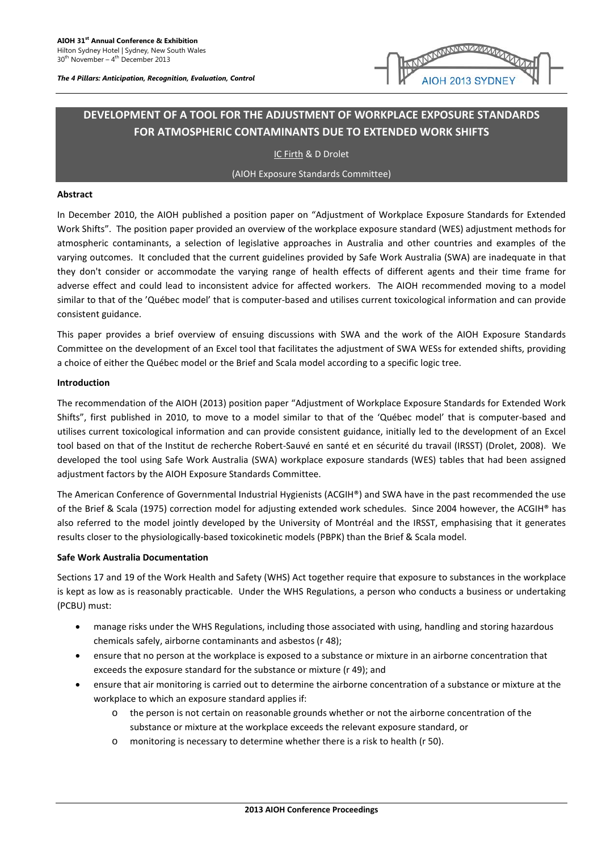

## **DEVELOPMENT OF A TOOL FOR THE ADJUSTMENT OF WORKPLACE EXPOSURE STANDARDS FOR ATMOSPHERIC CONTAMINANTS DUE TO EXTENDED WORK SHIFTS**

## IC Firth & D Drolet

#### (AIOH Exposure Standards Committee)

## **Abstract**

In December 2010, the AIOH published a position paper on "Adjustment of Workplace Exposure Standards for Extended Work Shifts". The position paper provided an overview of the workplace exposure standard (WES) adjustment methods for atmospheric contaminants, a selection of legislative approaches in Australia and other countries and examples of the varying outcomes. It concluded that the current guidelines provided by Safe Work Australia (SWA) are inadequate in that they don't consider or accommodate the varying range of health effects of different agents and their time frame for adverse effect and could lead to inconsistent advice for affected workers. The AIOH recommended moving to a model similar to that of the 'Québec model' that is computer-based and utilises current toxicological information and can provide consistent guidance.

This paper provides a brief overview of ensuing discussions with SWA and the work of the AIOH Exposure Standards Committee on the development of an Excel tool that facilitates the adjustment of SWA WESs for extended shifts, providing a choice of either the Québec model or the Brief and Scala model according to a specific logic tree.

#### **Introduction**

The recommendation of the AIOH (2013) position paper "Adjustment of Workplace Exposure Standards for Extended Work Shifts", first published in 2010, to move to a model similar to that of the 'Québec model' that is computer-based and utilises current toxicological information and can provide consistent guidance, initially led to the development of an Excel tool based on that of the Institut de recherche Robert-Sauvé en santé et en sécurité du travail (IRSST) (Drolet, 2008). We developed the tool using Safe Work Australia (SWA) workplace exposure standards (WES) tables that had been assigned adjustment factors by the AIOH Exposure Standards Committee.

The American Conference of Governmental Industrial Hygienists (ACGIH®) and SWA have in the past recommended the use of the Brief & Scala (1975) correction model for adjusting extended work schedules. Since 2004 however, the ACGIH® has also referred to the model jointly developed by the University of Montréal and the IRSST, emphasising that it generates results closer to the physiologically-based toxicokinetic models (PBPK) than the Brief & Scala model.

#### **Safe Work Australia Documentation**

Sections 17 and 19 of the Work Health and Safety (WHS) Act together require that exposure to substances in the workplace is kept as low as is reasonably practicable. Under the WHS Regulations, a person who conducts a business or undertaking (PCBU) must:

- manage risks under the WHS Regulations, including those associated with using, handling and storing hazardous chemicals safely, airborne contaminants and asbestos (r 48);
- ensure that no person at the workplace is exposed to a substance or mixture in an airborne concentration that exceeds the exposure standard for the substance or mixture (r 49); and
- ensure that air monitoring is carried out to determine the airborne concentration of a substance or mixture at the workplace to which an exposure standard applies if:
	- o the person is not certain on reasonable grounds whether or not the airborne concentration of the substance or mixture at the workplace exceeds the relevant exposure standard, or
	- o monitoring is necessary to determine whether there is a risk to health (r 50).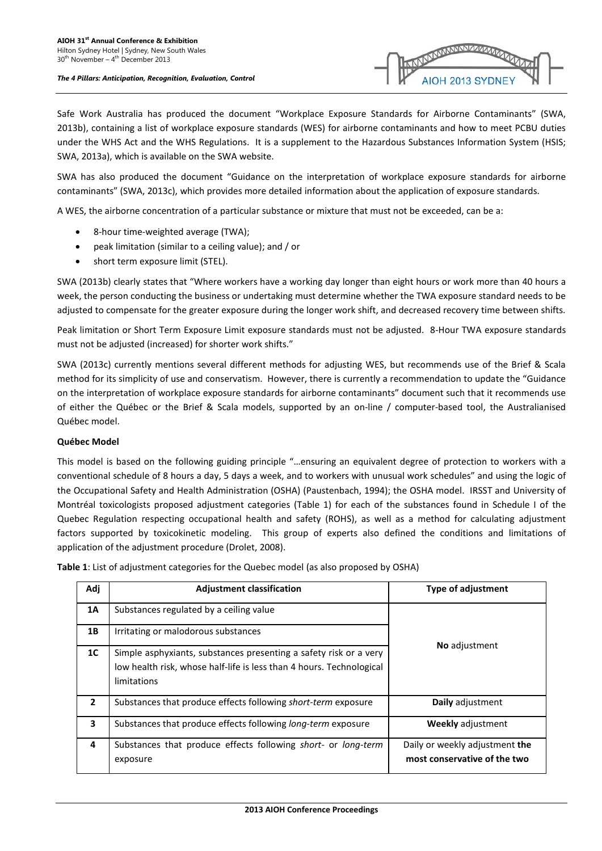**JOH 2013 SYDNE** 

Safe Work Australia has produced the document "Workplace Exposure Standards for Airborne Contaminants" (SWA, 2013b), containing a list of workplace exposure standards (WES) for airborne contaminants and how to meet PCBU duties under the WHS Act and the WHS Regulations. It is a supplement to the Hazardous Substances Information System (HSIS; SWA, 2013a), which is available on the SWA website.

SWA has also produced the document "Guidance on the interpretation of workplace exposure standards for airborne contaminants" (SWA, 2013c), which provides more detailed information about the application of exposure standards.

A WES, the airborne concentration of a particular substance or mixture that must not be exceeded, can be a:

- 8-hour time-weighted average (TWA);
- peak limitation (similar to a ceiling value); and / or
- short term exposure limit (STEL).

SWA (2013b) clearly states that "Where workers have a working day longer than eight hours or work more than 40 hours a week, the person conducting the business or undertaking must determine whether the TWA exposure standard needs to be adjusted to compensate for the greater exposure during the longer work shift, and decreased recovery time between shifts.

Peak limitation or Short Term Exposure Limit exposure standards must not be adjusted. 8-Hour TWA exposure standards must not be adjusted (increased) for shorter work shifts."

SWA (2013c) currently mentions several different methods for adjusting WES, but recommends use of the Brief & Scala method for its simplicity of use and conservatism. However, there is currently a recommendation to update the "Guidance on the interpretation of workplace exposure standards for airborne contaminants" document such that it recommends use of either the Québec or the Brief & Scala models, supported by an on-line / computer-based tool, the Australianised Québec model.

## **Québec Model**

This model is based on the following guiding principle "…ensuring an equivalent degree of protection to workers with a conventional schedule of 8 hours a day, 5 days a week, and to workers with unusual work schedules" and using the logic of the Occupational Safety and Health Administration (OSHA) (Paustenbach, 1994); the OSHA model. IRSST and University of Montréal toxicologists proposed adjustment categories (Table 1) for each of the substances found in Schedule I of the Quebec Regulation respecting occupational health and safety (ROHS), as well as a method for calculating adjustment factors supported by toxicokinetic modeling. This group of experts also defined the conditions and limitations of application of the adjustment procedure (Drolet, 2008).

**Table 1**: List of adjustment categories for the Quebec model (as also proposed by OSHA)

| Adj                     | <b>Adjustment classification</b>                                                                                                                         | <b>Type of adjustment</b>                                      |
|-------------------------|----------------------------------------------------------------------------------------------------------------------------------------------------------|----------------------------------------------------------------|
| <b>1A</b>               | Substances regulated by a ceiling value                                                                                                                  |                                                                |
| 1B                      | Irritating or malodorous substances                                                                                                                      | No adjustment                                                  |
| 1C                      | Simple asphyxiants, substances presenting a safety risk or a very<br>low health risk, whose half-life is less than 4 hours. Technological<br>limitations |                                                                |
| $\overline{2}$          | Substances that produce effects following short-term exposure                                                                                            | Daily adjustment                                               |
| $\overline{\mathbf{3}}$ | Substances that produce effects following <i>long-term</i> exposure                                                                                      | <b>Weekly</b> adjustment                                       |
| 4                       | Substances that produce effects following short- or long-term<br>exposure                                                                                | Daily or weekly adjustment the<br>most conservative of the two |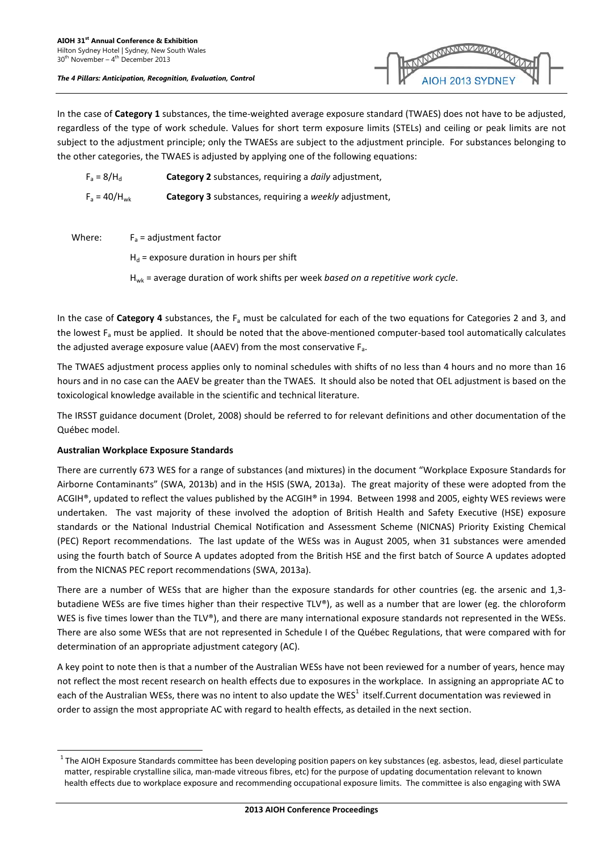**JOH 2013 SYDNE** 

In the case of **Category 1** substances, the time-weighted average exposure standard (TWAES) does not have to be adjusted, regardless of the type of work schedule. Values for short term exposure limits (STELs) and ceiling or peak limits are not subject to the adjustment principle; only the TWAESs are subject to the adjustment principle. For substances belonging to the other categories, the TWAES is adjusted by applying one of the following equations:

Fa = 8/Hd **Category 2** substances, requiring a *daily* adjustment, Fa = 40/Hwk **Category 3** substances, requiring a *weekly* adjustment,

Where:  $F_a$  = adjustment factor

 $H_d$  = exposure duration in hours per shift

Hwk = average duration of work shifts per week *based on a repetitive work cycle*.

In the case of **Category 4** substances, the F<sub>a</sub> must be calculated for each of the two equations for Categories 2 and 3, and the lowest  $F_a$  must be applied. It should be noted that the above-mentioned computer-based tool automatically calculates the adjusted average exposure value (AAEV) from the most conservative Fa.

The TWAES adjustment process applies only to nominal schedules with shifts of no less than 4 hours and no more than 16 hours and in no case can the AAEV be greater than the TWAES. It should also be noted that OEL adjustment is based on the toxicological knowledge available in the scientific and technical literature.

The IRSST guidance document (Drolet, 2008) should be referred to for relevant definitions and other documentation of the Québec model.

## **Australian Workplace Exposure Standards**

<span id="page-2-0"></span>**.** 

There are currently 673 WES for a range of substances (and mixtures) in the document "Workplace Exposure Standards for Airborne Contaminants" (SWA, 2013b) and in the HSIS (SWA, 2013a). The great majority of these were adopted from the ACGIH®, updated to reflect the values published by the ACGIH® in 1994. Between 1998 and 2005, eighty WES reviews were undertaken. The vast majority of these involved the adoption of British Health and Safety Executive (HSE) exposure standards or the National Industrial Chemical Notification and Assessment Scheme (NICNAS) Priority Existing Chemical (PEC) Report recommendations. The last update of the WESs was in August 2005, when 31 substances were amended using the fourth batch of Source A updates adopted from the British HSE and the first batch of Source A updates adopted from the NICNAS PEC report recommendations (SWA, 2013a).

There are a number of WESs that are higher than the exposure standards for other countries (eg. the arsenic and 1,3 butadiene WESs are five times higher than their respective TLV®), as well as a number that are lower (eg. the chloroform WES is five times lower than the TLV®), and there are many international exposure standards not represented in the WESs. There are also some WESs that are not represented in Schedule I of the Québec Regulations, that were compared with for determination of an appropriate adjustment category (AC).

A key point to note then is that a number of the Australian WESs have not been reviewed for a number of years, hence may not reflect the most recent research on health effects due to exposures in the workplace. In assigning an appropriate AC to each of the Australian WESs, there was no intent to also update the WES<sup>1</sup> itself.Current documentation was reviewed in order to assign the most appropriate AC with regard to health effects, as detailed in the next section.

 $1$ The AIOH Exposure Standards committee has been developing position papers on key substances (eg. asbestos, lead, diesel particulate matter, respirable crystalline silica, man-made vitreous fibres, etc) for the purpose of updating documentation relevant to known health effects due to workplace exposure and recommending occupational exposure limits. The committee is also engaging with SWA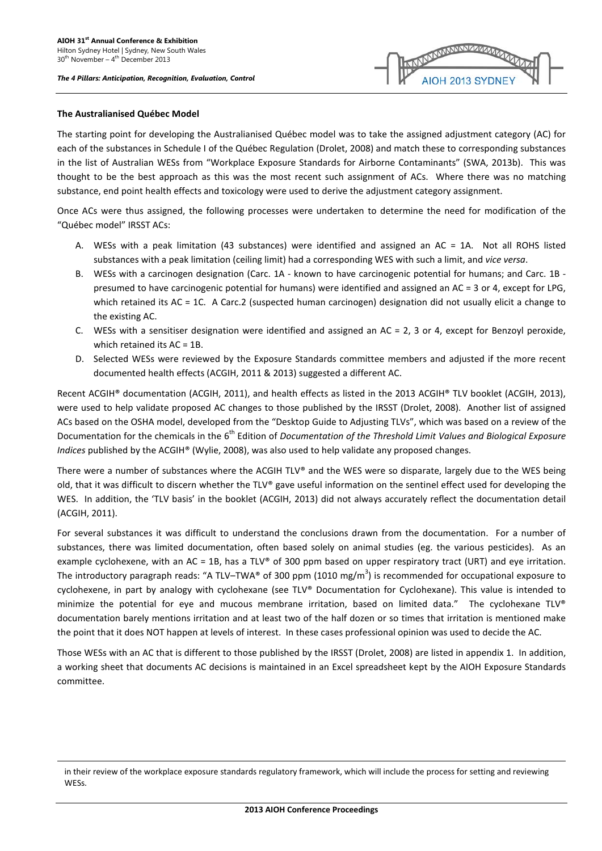

#### **The Australianised Québec Model**

1

The starting point for developing the Australianised Québec model was to take the assigned adjustment category (AC) for each of the substances in Schedule I of the Québec Regulation (Drolet, 2008) and match these to corresponding substances in the list of Australian WESs from "Workplace Exposure Standards for Airborne Contaminants" (SWA, 2013b). This was thought to be the best approach as this was the most recent such assignment of ACs. Where there was no matching substance, end point health effects and toxicology were used to derive the adjustment category assignment.

Once ACs were thus assigned, the following processes were undertaken to determine the need for modification of the "Québec model" IRSST ACs:

- A. WESs with a peak limitation (43 substances) were identified and assigned an AC = 1A. Not all ROHS listed substances with a peak limitation (ceiling limit) had a corresponding WES with such a limit, and *vice versa*.
- B. WESs with a carcinogen designation (Carc. 1A known to have carcinogenic potential for humans; and Carc. 1B presumed to have carcinogenic potential for humans) were identified and assigned an AC = 3 or 4, except for LPG, which retained its AC = 1C. A Carc.2 (suspected human carcinogen) designation did not usually elicit a change to the existing AC.
- C. WESs with a sensitiser designation were identified and assigned an AC = 2, 3 or 4, except for Benzoyl peroxide, which retained its AC = 1B.
- D. Selected WESs were reviewed by the Exposure Standards committee members and adjusted if the more recent documented health effects (ACGIH, 2011 & 2013) suggested a different AC.

Recent ACGIH® documentation (ACGIH, 2011), and health effects as listed in the 2013 ACGIH® TLV booklet (ACGIH, 2013), were used to help validate proposed AC changes to those published by the IRSST (Drolet, 2008). Another list of assigned ACs based on the OSHA model, developed from the "Desktop Guide to Adjusting TLVs", which was based on a review of the Documentation for the chemicals in the 6<sup>th</sup> Edition of *Documentation of the Threshold Limit Values and Biological Exposure Indices* published by the ACGIH® (Wylie, 2008), was also used to help validate any proposed changes.

There were a number of substances where the ACGIH TLV® and the WES were so disparate, largely due to the WES being old, that it was difficult to discern whether the TLV® gave useful information on the sentinel effect used for developing the WES. In addition, the 'TLV basis' in the booklet (ACGIH, 2013) did not always accurately reflect the documentation detail (ACGIH, 2011).

For several substances it was difficult to understand the conclusions drawn from the documentation. For a number of substances, there was limited documentation, often based solely on animal studies (eg. the various pesticides). As an example cyclohexene, with an AC = 1B, has a TLV® of 300 ppm based on upper respiratory tract (URT) and eye irritation. The introductory paragraph reads: "A TLV–TWA® of 300 ppm (1010 mg/m<sup>3</sup>) is recommended for occupational exposure to cyclohexene, in part by analogy with cyclohexane (see TLV® Documentation for Cyclohexane). This value is intended to minimize the potential for eye and mucous membrane irritation, based on limited data." The cyclohexane TLV® documentation barely mentions irritation and at least two of the half dozen or so times that irritation is mentioned make the point that it does NOT happen at levels of interest. In these cases professional opinion was used to decide the AC.

Those WESs with an AC that is different to those published by the IRSST (Drolet, 2008) are listed in appendix 1. In addition, a working sheet that documents AC decisions is maintained in an Excel spreadsheet kept by the AIOH Exposure Standards committee.

in their review of the workplace exposure standards regulatory framework, which will include the process for setting and reviewing WESs.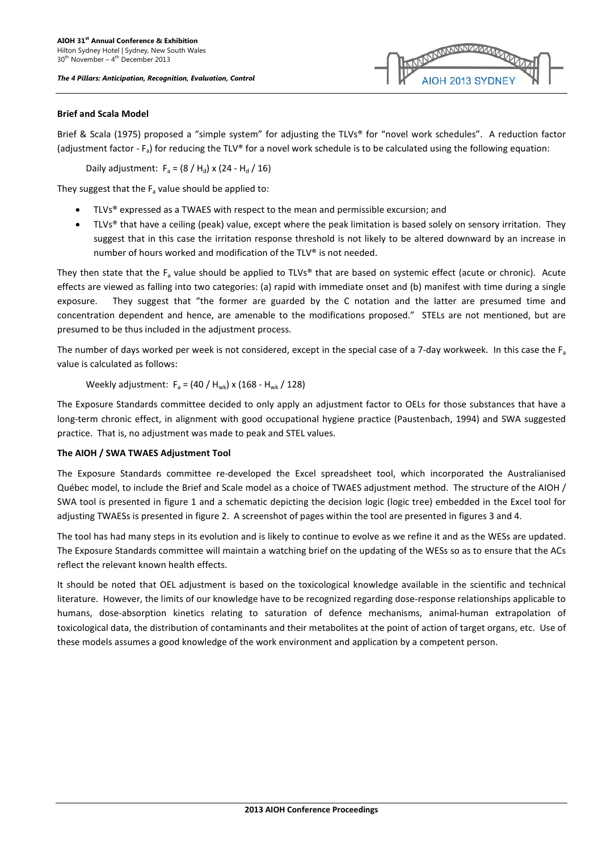## **Brief and Scala Model**

Brief & Scala (1975) proposed a "simple system" for adjusting the TLVs® for "novel work schedules". A reduction factor (adjustment factor -  $F_a$ ) for reducing the TLV® for a novel work schedule is to be calculated using the following equation:

Daily adjustment:  $F_a = (8 / H_d) \times (24 - H_d / 16)$ 

They suggest that the  $F_a$  value should be applied to:

- TLVs® expressed as a TWAES with respect to the mean and permissible excursion; and
- TLVs® that have a ceiling (peak) value, except where the peak limitation is based solely on sensory irritation. They suggest that in this case the irritation response threshold is not likely to be altered downward by an increase in number of hours worked and modification of the TLV® is not needed.

They then state that the  $F_a$  value should be applied to TLVs® that are based on systemic effect (acute or chronic). Acute effects are viewed as falling into two categories: (a) rapid with immediate onset and (b) manifest with time during a single exposure. They suggest that "the former are guarded by the C notation and the latter are presumed time and concentration dependent and hence, are amenable to the modifications proposed." STELs are not mentioned, but are presumed to be thus included in the adjustment process.

The number of days worked per week is not considered, except in the special case of a 7-day workweek. In this case the  $F_a$ value is calculated as follows:

Weekly adjustment:  $F_a = (40 / H_{wk}) \times (168 - H_{wk} / 128)$ 

The Exposure Standards committee decided to only apply an adjustment factor to OELs for those substances that have a long-term chronic effect, in alignment with good occupational hygiene practice (Paustenbach, 1994) and SWA suggested practice. That is, no adjustment was made to peak and STEL values.

#### **The AIOH / SWA TWAES Adjustment Tool**

The Exposure Standards committee re-developed the Excel spreadsheet tool, which incorporated the Australianised Québec model, to include the Brief and Scale model as a choice of TWAES adjustment method. The structure of the AIOH / SWA tool is presented in figure 1 and a schematic depicting the decision logic (logic tree) embedded in the Excel tool for adjusting TWAESs is presented in figure 2. A screenshot of pages within the tool are presented in figures 3 and 4.

The tool has had many steps in its evolution and is likely to continue to evolve as we refine it and as the WESs are updated. The Exposure Standards committee will maintain a watching brief on the updating of the WESs so as to ensure that the ACs reflect the relevant known health effects.

It should be noted that OEL adjustment is based on the toxicological knowledge available in the scientific and technical literature. However, the limits of our knowledge have to be recognized regarding dose-response relationships applicable to humans, dose-absorption kinetics relating to saturation of defence mechanisms, animal-human extrapolation of toxicological data, the distribution of contaminants and their metabolites at the point of action of target organs, etc. Use of these models assumes a good knowledge of the work environment and application by a competent person.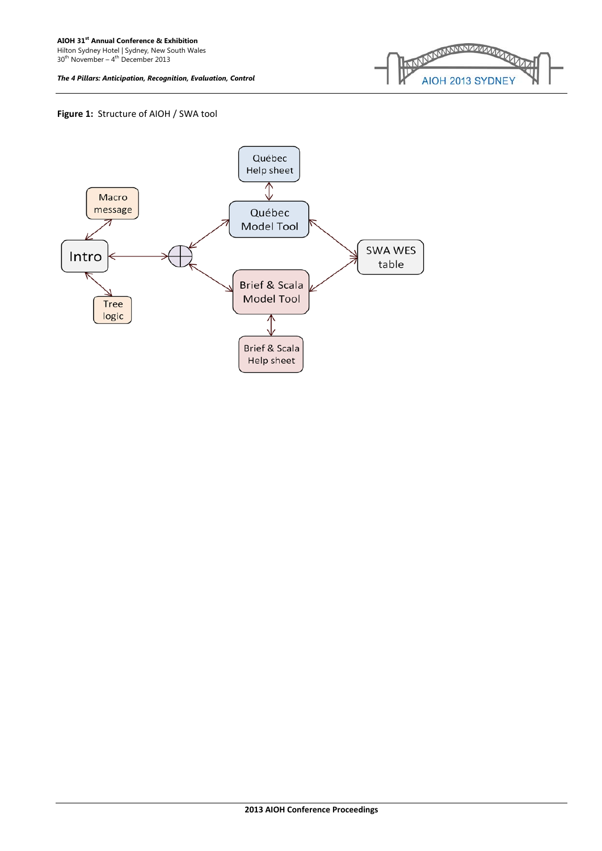

## **Figure 1:** Structure of AIOH / SWA tool

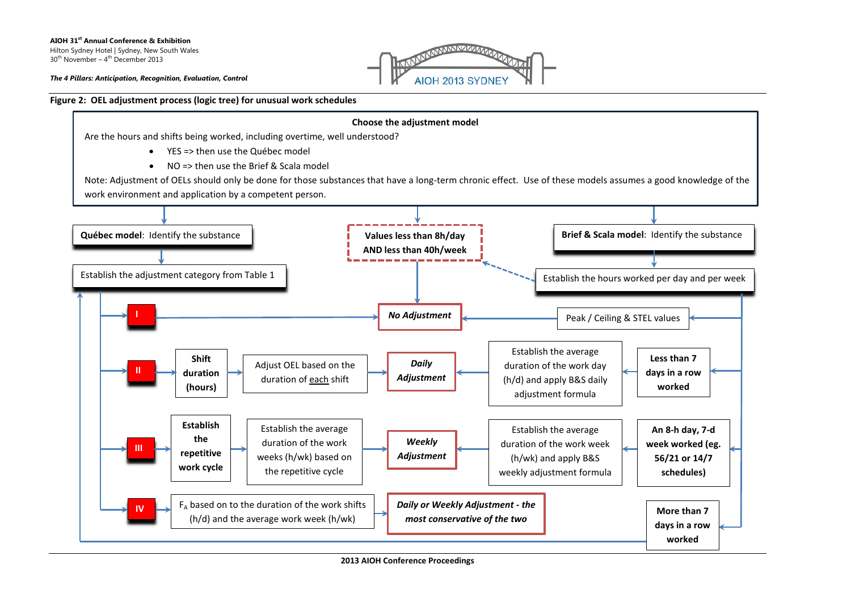Hilton Sydney Hotel | Sydney, New South Wales  $30<sup>th</sup>$  November – 4<sup>th</sup> December 2013

*The 4 Pillars: Anticipation, Recognition, Evaluation, Control*



**Figure 2: OEL adjustment process (logic tree) for unusual work schedules**

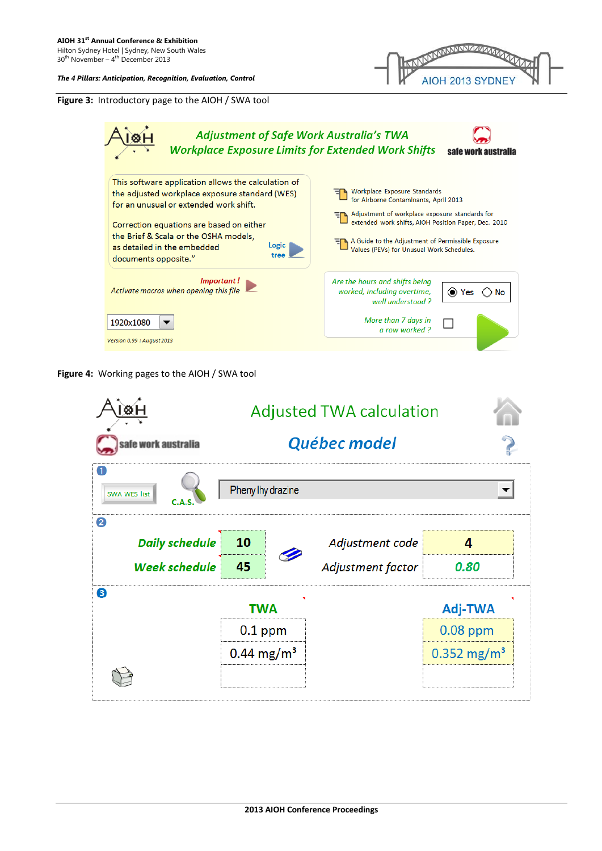TANARA MANARASKANARA AIOH 2013 SYDNEY

**Figure 3:** Introductory page to the AIOH / SWA tool

| <b>Adjustment of Safe Work Australia's TWA</b><br><b>Workplace Exposure Limits for Extended Work Shifts</b>                                                                                                                                                                                                  | safe work australia                                                                                                                                                                                                                                                               |
|--------------------------------------------------------------------------------------------------------------------------------------------------------------------------------------------------------------------------------------------------------------------------------------------------------------|-----------------------------------------------------------------------------------------------------------------------------------------------------------------------------------------------------------------------------------------------------------------------------------|
| This software application allows the calculation of<br>the adjusted workplace exposure standard (WES)<br>for an unusual or extended work shift.<br>Correction equations are based on either<br>the Brief & Scala or the OSHA models,<br>Logic<br>as detailed in the embedded<br>tree<br>documents opposite." | Workplace Exposure Standards<br>for Airborne Contaminants, April 2013<br>Adjustment of workplace exposure standards for<br>extended work shifts, AIOH Position Paper, Dec. 2010<br>A Guide to the Adjustment of Permissible Exposure<br>Values (PEVs) for Unusual Work Schedules. |
| Important!<br>Activate macros when opening this file                                                                                                                                                                                                                                                         | Are the hours and shifts being<br>worked, including overtime,<br><b>O</b> Yes<br>() No<br>well understood?                                                                                                                                                                        |
| 1920x1080<br>Version 0,99 : August 2013                                                                                                                                                                                                                                                                      | More than 7 days in<br>a row worked?                                                                                                                                                                                                                                              |

**Figure 4:** Working pages to the AIOH / SWA tool

| safe work australia                               | <b>Adjusted TWA calculation</b><br>Québec model |  |                   |                           |  |  |  |  |
|---------------------------------------------------|-------------------------------------------------|--|-------------------|---------------------------|--|--|--|--|
| $\bullet$<br><b>SWA WES list</b><br><b>C.A.S.</b> | Pheny lhy drazine                               |  |                   |                           |  |  |  |  |
| $\boldsymbol{c}$<br><b>Daily schedule</b>         | 10                                              |  | Adjustment code   | Δ.                        |  |  |  |  |
| Week schedule                                     | 45                                              |  | Adjustment factor | 0.80                      |  |  |  |  |
| ❸<br><b>Adj-TWA</b><br><b>TWA</b>                 |                                                 |  |                   |                           |  |  |  |  |
|                                                   | $0.1$ ppm                                       |  |                   | $0.08$ ppm                |  |  |  |  |
|                                                   | 0.44 mg/m <sup>3</sup>                          |  |                   | $0.352$ mg/m <sup>3</sup> |  |  |  |  |
|                                                   |                                                 |  |                   |                           |  |  |  |  |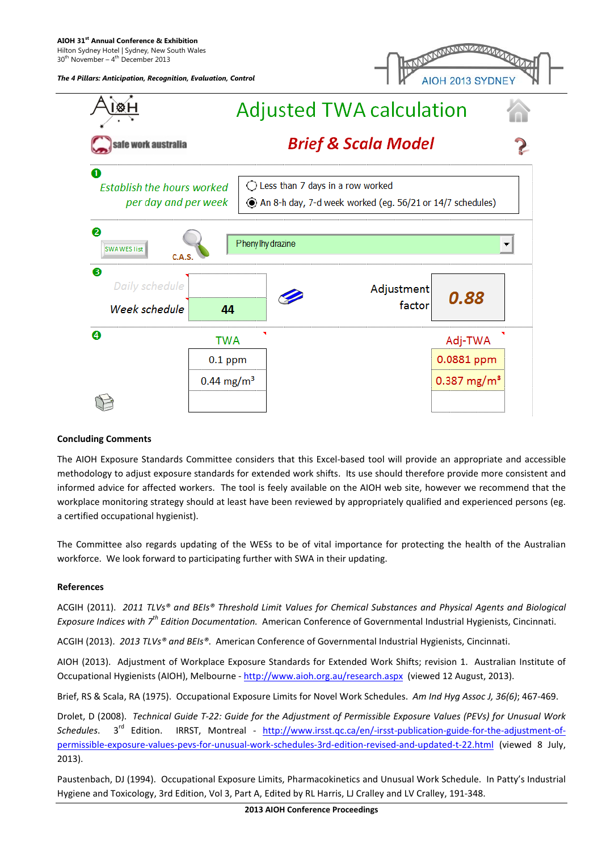

## **Concluding Comments**

The AIOH Exposure Standards Committee considers that this Excel-based tool will provide an appropriate and accessible methodology to adjust exposure standards for extended work shifts. Its use should therefore provide more consistent and informed advice for affected workers. The tool is feely available on the AIOH web site, however we recommend that the workplace monitoring strategy should at least have been reviewed by appropriately qualified and experienced persons (eg. a certified occupational hygienist).

The Committee also regards updating of the WESs to be of vital importance for protecting the health of the Australian workforce. We look forward to participating further with SWA in their updating.

## **References**

ACGIH (2011). *2011 TLVs® and BEIs® Threshold Limit Values for Chemical Substances and Physical Agents and Biological Exposure Indices with 7th Edition Documentation.* American Conference of Governmental Industrial Hygienists, Cincinnati.

ACGIH (2013). *2013 TLVs® and BEIs®*. American Conference of Governmental Industrial Hygienists, Cincinnati.

AIOH (2013). Adjustment of Workplace Exposure Standards for Extended Work Shifts; revision 1. Australian Institute of Occupational Hygienists (AIOH), Melbourne - <http://www.aioh.org.au/research.aspx>(viewed 12 August, 2013).

Brief, RS & Scala, RA (1975). Occupational Exposure Limits for Novel Work Schedules. *Am Ind Hyg Assoc J, 36(6)*; 467-469.

Drolet, D (2008). *Technical Guide T-22: Guide for the Adjustment of Permissible Exposure Values (PEVs) for Unusual Work Schedules*. 3rd Edition. IRRST, Montreal - [http://www.irsst.qc.ca/en/-irsst-publication-guide-for-the-adjustment-of](http://www.irsst.qc.ca/en/-irsst-publication-guide-for-the-adjustment-of-permissible-exposure-values-pevs-for-unusual-work-schedules-3rd-edition-revised-and-updated-t-22.html)[permissible-exposure-values-pevs-for-unusual-work-schedules-3rd-edition-revised-and-updated-t-22.html](http://www.irsst.qc.ca/en/-irsst-publication-guide-for-the-adjustment-of-permissible-exposure-values-pevs-for-unusual-work-schedules-3rd-edition-revised-and-updated-t-22.html) (viewed 8 July, 2013).

Paustenbach, DJ (1994). Occupational Exposure Limits, Pharmacokinetics and Unusual Work Schedule. In Patty's Industrial Hygiene and Toxicology, 3rd Edition, Vol 3, Part A, Edited by RL Harris, LJ Cralley and LV Cralley, 191-348.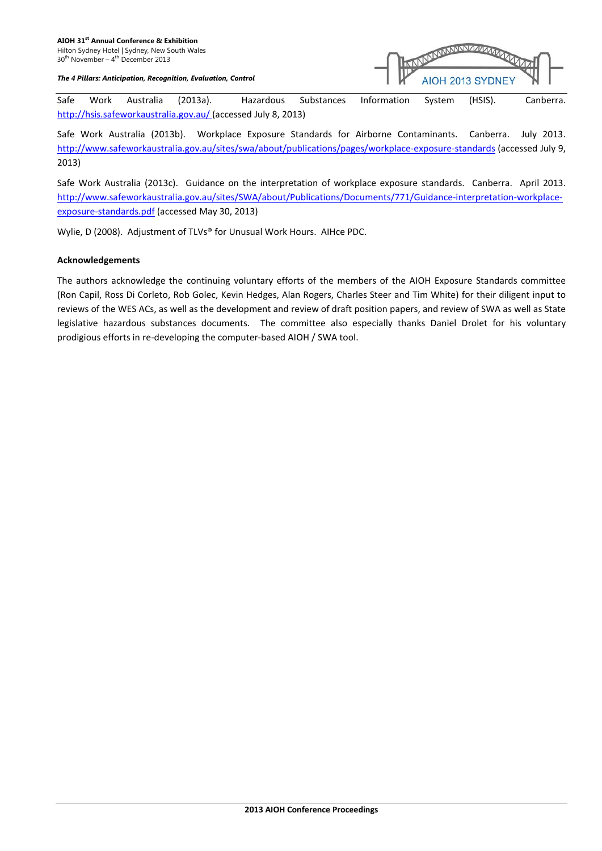AIOH 2013 SYDNEY

Safe Work Australia (2013a). Hazardous Substances Information System (HSIS). Canberra. <http://hsis.safeworkaustralia.gov.au/> (accessed July 8, 2013)

Safe Work Australia (2013b). Workplace Exposure Standards for Airborne Contaminants. Canberra. July 2013. <http://www.safeworkaustralia.gov.au/sites/swa/about/publications/pages/workplace-exposure-standards> (accessed July 9, 2013)

Safe Work Australia (2013c). Guidance on the interpretation of workplace exposure standards. Canberra. April 2013. [http://www.safeworkaustralia.gov.au/sites/SWA/about/Publications/Documents/771/Guidance-interpretation-workplace](http://www.safeworkaustralia.gov.au/sites/SWA/about/Publications/Documents/771/Guidance-interpretation-workplace-exposure-standards.pdf)[exposure-standards.pdf](http://www.safeworkaustralia.gov.au/sites/SWA/about/Publications/Documents/771/Guidance-interpretation-workplace-exposure-standards.pdf) (accessed May 30, 2013)

Wylie, D (2008). Adjustment of TLVs® for Unusual Work Hours. AIHce PDC.

## **Acknowledgements**

The authors acknowledge the continuing voluntary efforts of the members of the AIOH Exposure Standards committee (Ron Capil, Ross Di Corleto, Rob Golec, Kevin Hedges, Alan Rogers, Charles Steer and Tim White) for their diligent input to reviews of the WES ACs, as well as the development and review of draft position papers, and review of SWA as well as State legislative hazardous substances documents. The committee also especially thanks Daniel Drolet for his voluntary prodigious efforts in re-developing the computer-based AIOH / SWA tool.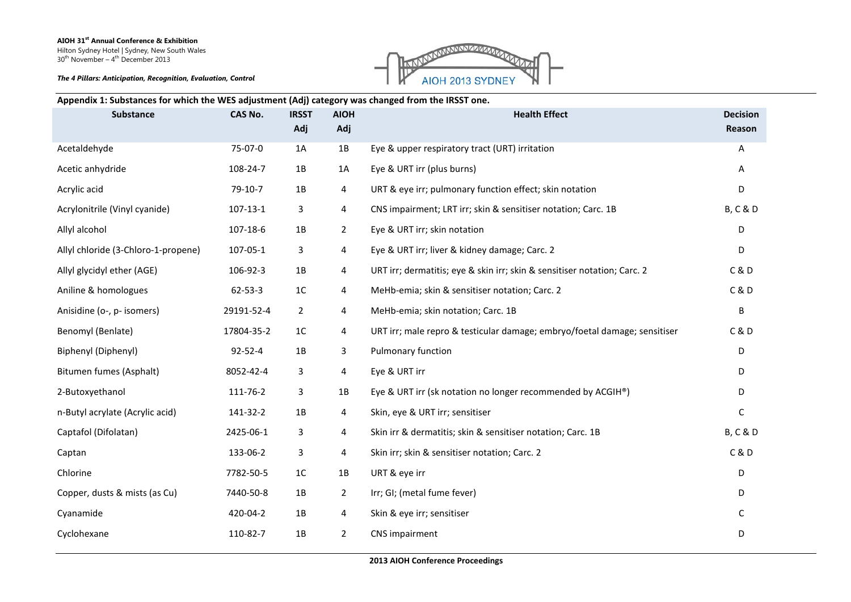Hilton Sydney Hotel | Sydney, New South Wales<br>30<sup>th</sup> November – 4<sup>th</sup> December 2013

**LANDANANANANANANA** AIOH 2013 SYDNEY

*The 4 Pillars: Anticipation, Recognition, Evaluation, Control*

## **Appendix 1: Substances for which the WES adjustment (Adj) category was changed from the IRSST one.**

| <b>Substance</b>                    | CAS No.       | <b>IRSST</b><br>Adj | <b>AIOH</b><br>Adj | <b>Health Effect</b>                                                      | <b>Decision</b><br>Reason |
|-------------------------------------|---------------|---------------------|--------------------|---------------------------------------------------------------------------|---------------------------|
| Acetaldehyde                        | 75-07-0       | 1A                  | 1B                 | Eye & upper respiratory tract (URT) irritation                            | A                         |
| Acetic anhydride                    | 108-24-7      | 1B                  | 1A                 | Eye & URT irr (plus burns)                                                | Α                         |
| Acrylic acid                        | 79-10-7       | 1B                  | 4                  | URT & eye irr; pulmonary function effect; skin notation                   | D                         |
| Acrylonitrile (Vinyl cyanide)       | 107-13-1      | 3                   | 4                  | CNS impairment; LRT irr; skin & sensitiser notation; Carc. 1B             | <b>B, C &amp; D</b>       |
| Allyl alcohol                       | 107-18-6      | 1B                  | $\overline{2}$     | Eye & URT irr; skin notation                                              | D                         |
| Allyl chloride (3-Chloro-1-propene) | 107-05-1      | 3                   | 4                  | Eye & URT irr; liver & kidney damage; Carc. 2                             | D                         |
| Allyl glycidyl ether (AGE)          | 106-92-3      | 1B                  | 4                  | URT irr; dermatitis; eye & skin irr; skin & sensitiser notation; Carc. 2  | C & D                     |
| Aniline & homologues                | 62-53-3       | 1 <sup>C</sup>      | 4                  | MeHb-emia; skin & sensitiser notation; Carc. 2                            | C&D                       |
| Anisidine (o-, p- isomers)          | 29191-52-4    | $\overline{2}$      | 4                  | MeHb-emia; skin notation; Carc. 1B                                        | B                         |
| Benomyl (Benlate)                   | 17804-35-2    | 1 <sup>C</sup>      | 4                  | URT irr; male repro & testicular damage; embryo/foetal damage; sensitiser | C&D                       |
| Biphenyl (Diphenyl)                 | $92 - 52 - 4$ | 1B                  | 3                  | Pulmonary function                                                        | D                         |
| Bitumen fumes (Asphalt)             | 8052-42-4     | 3                   | 4                  | Eye & URT irr                                                             | D                         |
| 2-Butoxyethanol                     | 111-76-2      | 3                   | 1B                 | Eye & URT irr (sk notation no longer recommended by ACGIH®)               | D                         |
| n-Butyl acrylate (Acrylic acid)     | 141-32-2      | 1B                  | 4                  | Skin, eye & URT irr; sensitiser                                           | C                         |
| Captafol (Difolatan)                | 2425-06-1     | 3                   | 4                  | Skin irr & dermatitis; skin & sensitiser notation; Carc. 1B               | <b>B, C &amp; D</b>       |
| Captan                              | 133-06-2      | 3                   | 4                  | Skin irr; skin & sensitiser notation; Carc. 2                             | C&D                       |
| Chlorine                            | 7782-50-5     | 1C                  | 1B                 | URT & eye irr                                                             | D                         |
| Copper, dusts & mists (as Cu)       | 7440-50-8     | 1B                  | $\overline{2}$     | Irr; GI; (metal fume fever)                                               | D                         |
| Cyanamide                           | 420-04-2      | 1B                  | 4                  | Skin & eye irr; sensitiser                                                | C                         |
| Cyclohexane                         | 110-82-7      | 1B                  | $\overline{2}$     | CNS impairment                                                            | D                         |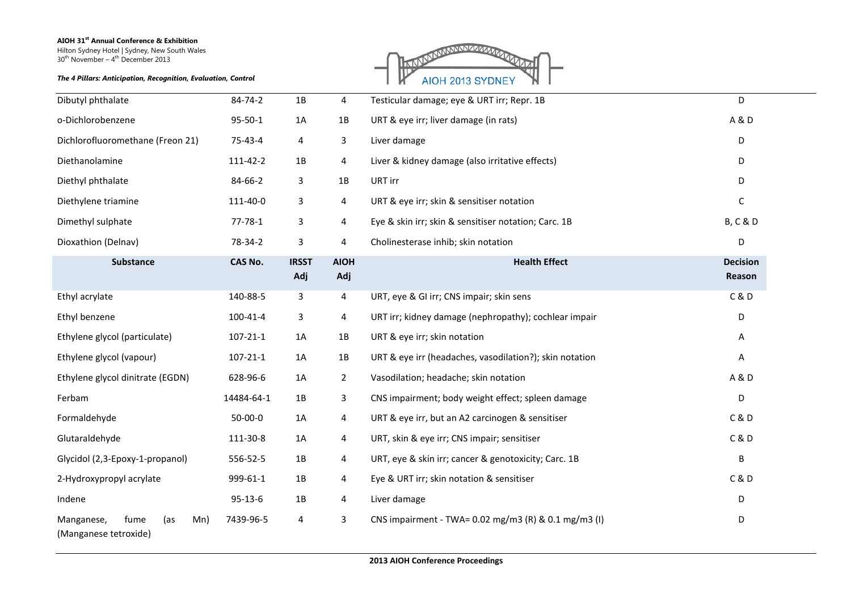Hilton Sydney Hotel | Sydney, New South Wales<br>30<sup>th</sup> November – 4<sup>th</sup> December 2013

#### *The 4 Pillars: Anticipation, Recognition, Evaluation, Control*



| Dibutyl phthalate                                         | 84-74-2        | 1B           | 4              | Testicular damage; eye & URT irr; Repr. 1B              | D                   |
|-----------------------------------------------------------|----------------|--------------|----------------|---------------------------------------------------------|---------------------|
| o-Dichlorobenzene                                         | 95-50-1        | 1A           | 1B             | URT & eye irr; liver damage (in rats)                   | A & D               |
| Dichlorofluoromethane (Freon 21)                          | 75-43-4        | 4            | 3              | Liver damage                                            | D                   |
| Diethanolamine                                            | 111-42-2       | 1B           | 4              | Liver & kidney damage (also irritative effects)         | D                   |
| Diethyl phthalate                                         | 84-66-2        | 3            | 1B             | URT irr                                                 | D                   |
| Diethylene triamine                                       | 111-40-0       | 3            | 4              | URT & eye irr; skin & sensitiser notation               | C                   |
| Dimethyl sulphate                                         | 77-78-1        | 3            | 4              | Eye & skin irr; skin & sensitiser notation; Carc. 1B    | <b>B, C &amp; D</b> |
| Dioxathion (Delnav)                                       | 78-34-2        | 3            | 4              | Cholinesterase inhib; skin notation                     | D                   |
| <b>Substance</b>                                          | CAS No.        | <b>IRSST</b> | <b>AIOH</b>    | <b>Health Effect</b>                                    | <b>Decision</b>     |
|                                                           |                | Adj          | Adj            |                                                         | Reason              |
| Ethyl acrylate                                            | 140-88-5       | 3            | 4              | URT, eye & GI irr; CNS impair; skin sens                | C & D               |
| Ethyl benzene                                             | 100-41-4       | 3            | 4              | URT irr; kidney damage (nephropathy); cochlear impair   | D                   |
| Ethylene glycol (particulate)                             | $107 - 21 - 1$ | 1A           | $1B$           | URT & eye irr; skin notation                            | Α                   |
| Ethylene glycol (vapour)                                  | 107-21-1       | 1A           | 1B             | URT & eye irr (headaches, vasodilation?); skin notation | Α                   |
| Ethylene glycol dinitrate (EGDN)                          | 628-96-6       | 1A           | $\overline{2}$ | Vasodilation; headache; skin notation                   | A & D               |
| Ferbam                                                    | 14484-64-1     | 1B           | 3              | CNS impairment; body weight effect; spleen damage       | D                   |
| Formaldehyde                                              | $50-00-0$      | 1A           | 4              | URT & eye irr, but an A2 carcinogen & sensitiser        | C & D               |
| Glutaraldehyde                                            | 111-30-8       | 1A           | 4              | URT, skin & eye irr; CNS impair; sensitiser             | C & D               |
| Glycidol (2,3-Epoxy-1-propanol)                           | 556-52-5       | 1B           | 4              | URT, eye & skin irr; cancer & genotoxicity; Carc. 1B    | B                   |
| 2-Hydroxypropyl acrylate                                  | 999-61-1       | 1B           | 4              | Eye & URT irr; skin notation & sensitiser               | C & D               |
| Indene                                                    | $95-13-6$      | 1B           | 4              | Liver damage                                            | D                   |
| fume<br>(as<br>Mn)<br>Manganese,<br>(Manganese tetroxide) | 7439-96-5      | 4            | 3              | CNS impairment - TWA= 0.02 mg/m3 (R) & 0.1 mg/m3 (I)    | D                   |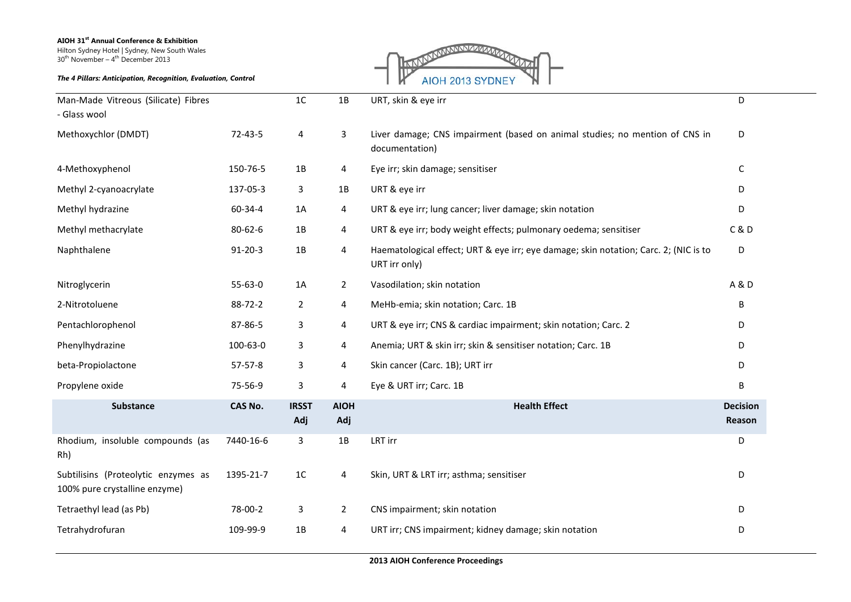Hilton Sydney Hotel | Sydney, New South Wales<br>30<sup>th</sup> November – 4<sup>th</sup> December 2013

*The 4 Pillars: Anticipation, Recognition, Evaluation, Control*

**LEAN AND ANNOUNCEMENT AND LANDS** AIOH 2013 SYDNEY

| Man-Made Vitreous (Silicate) Fibres<br>- Glass wool                  |               | $1C$                | 1B                 | URT, skin & eye irr                                                                                   | D                         |
|----------------------------------------------------------------------|---------------|---------------------|--------------------|-------------------------------------------------------------------------------------------------------|---------------------------|
| Methoxychlor (DMDT)                                                  | 72-43-5       | 4                   | 3                  | Liver damage; CNS impairment (based on animal studies; no mention of CNS in<br>documentation)         | D                         |
| 4-Methoxyphenol                                                      | 150-76-5      | 1B                  | 4                  | Eye irr; skin damage; sensitiser                                                                      | $\mathsf{C}$              |
| Methyl 2-cyanoacrylate                                               | 137-05-3      | 3                   | 1B                 | URT & eye irr                                                                                         | D                         |
| Methyl hydrazine                                                     | 60-34-4       | 1A                  | 4                  | URT & eye irr; lung cancer; liver damage; skin notation                                               | D                         |
| Methyl methacrylate                                                  | 80-62-6       | 1B                  | 4                  | URT & eye irr; body weight effects; pulmonary oedema; sensitiser                                      | C & D                     |
| Naphthalene                                                          | $91 - 20 - 3$ | 1B                  | 4                  | Haematological effect; URT & eye irr; eye damage; skin notation; Carc. 2; (NIC is to<br>URT irr only) | D                         |
| Nitroglycerin                                                        | 55-63-0       | 1A                  | $\overline{2}$     | Vasodilation; skin notation                                                                           | A&D                       |
| 2-Nitrotoluene                                                       | 88-72-2       | $\overline{2}$      | 4                  | MeHb-emia; skin notation; Carc. 1B                                                                    | B                         |
| Pentachlorophenol                                                    | 87-86-5       | 3                   | 4                  | URT & eye irr; CNS & cardiac impairment; skin notation; Carc. 2                                       | D                         |
| Phenylhydrazine                                                      | 100-63-0      | 3                   | 4                  | Anemia; URT & skin irr; skin & sensitiser notation; Carc. 1B                                          | D                         |
| beta-Propiolactone                                                   | 57-57-8       | 3                   | 4                  | Skin cancer (Carc. 1B); URT irr                                                                       | D                         |
| Propylene oxide                                                      | 75-56-9       | 3                   | 4                  | Eye & URT irr; Carc. 1B                                                                               | B                         |
| <b>Substance</b>                                                     | CAS No.       | <b>IRSST</b><br>Adj | <b>AIOH</b><br>Adj | <b>Health Effect</b>                                                                                  | <b>Decision</b><br>Reason |
| Rhodium, insoluble compounds (as<br>Rh)                              | 7440-16-6     | 3                   | 1B                 | LRT irr                                                                                               | D                         |
| Subtilisins (Proteolytic enzymes as<br>100% pure crystalline enzyme) | 1395-21-7     | 1C                  | 4                  | Skin, URT & LRT irr; asthma; sensitiser                                                               | D                         |
| Tetraethyl lead (as Pb)                                              | 78-00-2       | $\mathbf{3}$        | $\overline{2}$     | CNS impairment; skin notation                                                                         | D                         |
| Tetrahydrofuran                                                      | 109-99-9      | 1B                  | 4                  | URT irr; CNS impairment; kidney damage; skin notation                                                 | D                         |

**2013 AIOH Conference Proceedings**